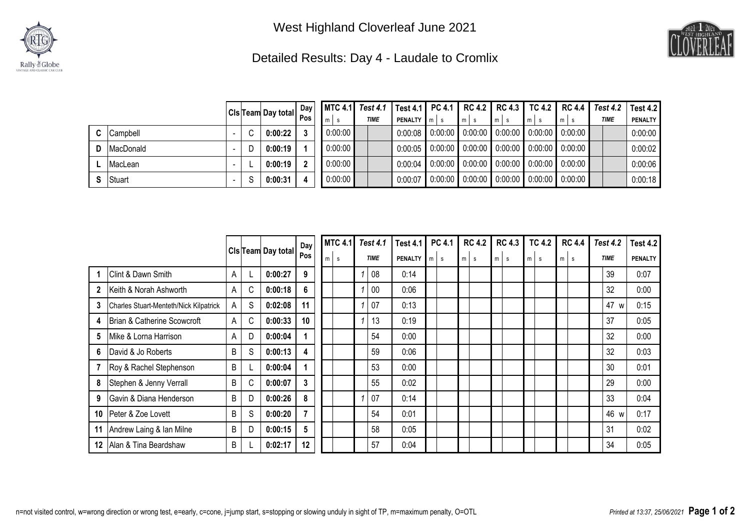



## Detailed Results: Day 4 - Laudale to Cromlix

|    |                 |           |   | CIs Team Day total | Day  <br>Pos | m       | <b>TIME</b> | MTC 4.1   Test 4.1   Test 4.1   PC 4.1   RC 4.2   RC 4.3   TC 4.2   RC 4.4  <br><b>PENALTY</b> m s |         | $m$ s | $m$ s | m <sub>l</sub> | $m$ s                                                                             | <b>Test 4.2</b><br><b>TIME</b> | Test 4.2<br><b>PENALTY</b> |
|----|-----------------|-----------|---|--------------------|--------------|---------|-------------|----------------------------------------------------------------------------------------------------|---------|-------|-------|----------------|-----------------------------------------------------------------------------------|--------------------------------|----------------------------|
| C. | <b>Campbell</b> |           |   | 0:00:22            |              | 0:00:00 |             | 0:00:08                                                                                            |         |       |       |                | $\mid$ 0:00:00 $\mid$ 0:00:00 $\mid$ 0:00:00 $\mid$ 0:00:00 $\mid$ 0:00:00 $\mid$ |                                | 0:00:00                    |
|    | MacDonald       | $\,$ $\,$ |   | 0:00:19            |              | 0:00:00 |             | 0:00:05                                                                                            |         |       |       |                | $0.00:00$ 0.00 $0.00$ 0.00 $0.00$ 0.00 $0.00$ 0.00 $0.00$ 0.00 $0$                |                                | 0:00:02                    |
|    | MacLean         |           |   | 0:00:19            |              | 0:00:00 |             | 0:00:04                                                                                            |         |       |       |                | $\mid$ 0:00:00 $\mid$ 0:00:00 $\mid$ 0:00:00 $\mid$ 0:00:00 $\mid$ 0:00:00 $\mid$ |                                | 0:00:06                    |
|    | Stuart          |           | S | 0:00:31            |              | 0:00:00 |             | 0:00:07                                                                                            | 0:00:00 |       |       |                | $\vert 0.00.00 \vert 0.00.00 \vert 0.00.00 \vert 0.00.00 \vert$                   |                                | 0:00:18                    |

|              |                                        |   |   |                    | Day | <b>MTC 4.1</b> | <b>Test 4.1</b> |    | <b>Test 4.1</b> | <b>PC 4.1</b> |                | <b>RC 4.2</b> |  | <b>RC 4.3</b> |               | <b>TC 4.2</b> | <b>RC 4.4</b> |        | <b>Test 4.2</b>     |      | <b>Test 4.2</b> |  |                |
|--------------|----------------------------------------|---|---|--------------------|-----|----------------|-----------------|----|-----------------|---------------|----------------|---------------|--|---------------|---------------|---------------|---------------|--------|---------------------|------|-----------------|--|----------------|
|              |                                        |   |   | Cls Team Day total | Pos | m<br>s         | <b>TIME</b>     |    |                 |               | <b>PENALTY</b> | m<br>s        |  |               | m<br><b>S</b> |               | m<br>s        | m<br>s | m <sub>1</sub><br>s |      | <b>TIME</b>     |  | <b>PENALTY</b> |
|              | Clint & Dawn Smith                     | A |   | 0:00:27            | 9   |                |                 | 08 | 0:14            |               |                |               |  |               |               |               |               |        |                     | 39   | 0:07            |  |                |
| $\mathbf{2}$ | Keith & Norah Ashworth                 | A | C | 0:00:18            | 6   |                |                 | 00 | 0:06            |               |                |               |  |               |               |               |               |        |                     | 32   | 0:00            |  |                |
| 3            | Charles Stuart-Menteth/Nick Kilpatrick | A | S | 0:02:08            | 11  |                |                 | 07 | 0:13            |               |                |               |  |               |               |               |               |        |                     | 47 w | 0:15            |  |                |
| 4            | Brian & Catherine Scowcroft            | A | C | 0:00:33            | 10  |                |                 | 13 | 0:19            |               |                |               |  |               |               |               |               |        |                     | 37   | 0:05            |  |                |
| 5            | Mike & Lorna Harrison                  | A | D | 0:00:04            |     |                |                 | 54 | 0:00            |               |                |               |  |               |               |               |               |        |                     | 32   | 0:00            |  |                |
| 6            | David & Jo Roberts                     | B | S | 0:00:13            | 4   |                |                 | 59 | 0:06            |               |                |               |  |               |               |               |               |        |                     | 32   | 0:03            |  |                |
|              | Roy & Rachel Stephenson                | B |   | 0:00:04            |     |                |                 | 53 | 0:00            |               |                |               |  |               |               |               |               |        |                     | 30   | 0:01            |  |                |
| 8            | Stephen & Jenny Verrall                | B | C | 0:00:07            | 3   |                |                 | 55 | 0:02            |               |                |               |  |               |               |               |               |        |                     | 29   | 0:00            |  |                |
| 9            | Gavin & Diana Henderson                | B | D | 0:00:26            | 8   |                |                 | 07 | 0:14            |               |                |               |  |               |               |               |               |        |                     | 33   | 0:04            |  |                |
| 10           | Peter & Zoe Lovett                     | B | S | 0:00:20            | 7   |                |                 | 54 | 0:01            |               |                |               |  |               |               |               |               |        |                     | 46 w | 0:17            |  |                |
| 11           | Andrew Laing & Ian Milne               | B | D | 0:00:15            | 5   |                |                 | 58 | 0:05            |               |                |               |  |               |               |               |               |        |                     | 31   | 0:02            |  |                |
| 12           | Alan & Tina Beardshaw                  | B |   | 0:02:17            | 12  |                |                 | 57 | 0:04            |               |                |               |  |               |               |               |               |        |                     | 34   | 0:05            |  |                |